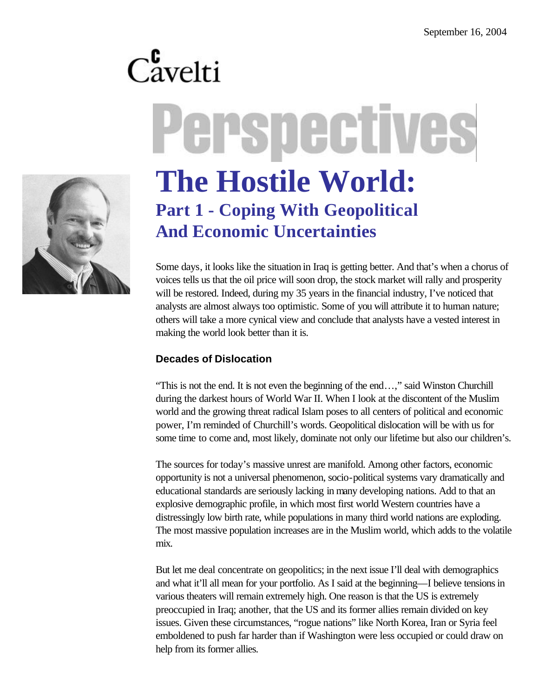# Cavelti Perspective



# **The Hostile World: Part 1 - Coping With Geopolitical And Economic Uncertainties**

Some days, it looks like the situation in Iraq is getting better. And that's when a chorus of voices tells us that the oil price will soon drop, the stock market will rally and prosperity will be restored. Indeed, during my 35 years in the financial industry, I've noticed that analysts are almost always too optimistic. Some of you will attribute it to human nature; others will take a more cynical view and conclude that analysts have a vested interest in making the world look better than it is.

#### **Decades of Dislocation**

"This is not the end. It is not even the beginning of the end…," said Winston Churchill during the darkest hours of World War II. When I look at the discontent of the Muslim world and the growing threat radical Islam poses to all centers of political and economic power, I'm reminded of Churchill's words. Geopolitical dislocation will be with us for some time to come and, most likely, dominate not only our lifetime but also our children's.

The sources for today's massive unrest are manifold. Among other factors, economic opportunity is not a universal phenomenon, socio-political systems vary dramatically and educational standards are seriously lacking in many developing nations. Add to that an explosive demographic profile, in which most first world Western countries have a distressingly low birth rate, while populations in many third world nations are exploding. The most massive population increases are in the Muslim world, which adds to the volatile mix.

But let me deal concentrate on geopolitics; in the next issue I'll deal with demographics and what it'll all mean for your portfolio. As I said at the beginning—I believe tensions in various theaters will remain extremely high. One reason is that the US is extremely preoccupied in Iraq; another, that the US and its former allies remain divided on key issues. Given these circumstances, "rogue nations" like North Korea, Iran or Syria feel emboldened to push far harder than if Washington were less occupied or could draw on help from its former allies.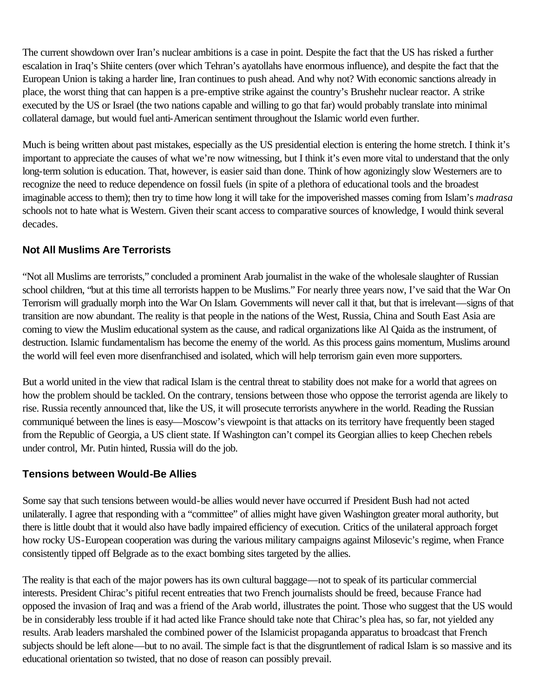The current showdown over Iran's nuclear ambitions is a case in point. Despite the fact that the US has risked a further escalation in Iraq's Shiite centers (over which Tehran's ayatollahs have enormous influence), and despite the fact that the European Union is taking a harder line, Iran continues to push ahead. And why not? With economic sanctions already in place, the worst thing that can happen is a pre-emptive strike against the country's Brushehr nuclear reactor. A strike executed by the US or Israel (the two nations capable and willing to go that far) would probably translate into minimal collateral damage, but would fuel anti-American sentiment throughout the Islamic world even further.

Much is being written about past mistakes, especially as the US presidential election is entering the home stretch. I think it's important to appreciate the causes of what we're now witnessing, but I think it's even more vital to understand that the only long-term solution is education. That, however, is easier said than done. Think of how agonizingly slow Westerners are to recognize the need to reduce dependence on fossil fuels (in spite of a plethora of educational tools and the broadest imaginable access to them); then try to time how long it will take for the impoverished masses coming from Islam's *madrasa*  schools not to hate what is Western. Given their scant access to comparative sources of knowledge, I would think several decades.

#### **Not All Muslims Are Terrorists**

"Not all Muslims are terrorists," concluded a prominent Arab journalist in the wake of the wholesale slaughter of Russian school children, "but at this time all terrorists happen to be Muslims." For nearly three years now, I've said that the War On Terrorism will gradually morph into the War On Islam. Governments will never call it that, but that is irrelevant—signs of that transition are now abundant. The reality is that people in the nations of the West, Russia, China and South East Asia are coming to view the Muslim educational system as the cause, and radical organizations like Al Qaida as the instrument, of destruction. Islamic fundamentalism has become the enemy of the world. As this process gains momentum, Muslims around the world will feel even more disenfranchised and isolated, which will help terrorism gain even more supporters.

But a world united in the view that radical Islam is the central threat to stability does not make for a world that agrees on how the problem should be tackled. On the contrary, tensions between those who oppose the terrorist agenda are likely to rise. Russia recently announced that, like the US, it will prosecute terrorists anywhere in the world. Reading the Russian communiqué between the lines is easy—Moscow's viewpoint is that attacks on its territory have frequently been staged from the Republic of Georgia, a US client state. If Washington can't compel its Georgian allies to keep Chechen rebels under control, Mr. Putin hinted, Russia will do the job.

#### **Tensions between Would-Be Allies**

Some say that such tensions between would-be allies would never have occurred if President Bush had not acted unilaterally. I agree that responding with a "committee" of allies might have given Washington greater moral authority, but there is little doubt that it would also have badly impaired efficiency of execution. Critics of the unilateral approach forget how rocky US-European cooperation was during the various military campaigns against Milosevic's regime, when France consistently tipped off Belgrade as to the exact bombing sites targeted by the allies.

The reality is that each of the major powers has its own cultural baggage—not to speak of its particular commercial interests. President Chirac's pitiful recent entreaties that two French journalists should be freed, because France had opposed the invasion of Iraq and was a friend of the Arab world, illustrates the point. Those who suggest that the US would be in considerably less trouble if it had acted like France should take note that Chirac's plea has, so far, not yielded any results. Arab leaders marshaled the combined power of the Islamicist propaganda apparatus to broadcast that French subjects should be left alone—but to no avail. The simple fact is that the disgruntlement of radical Islam is so massive and its educational orientation so twisted, that no dose of reason can possibly prevail.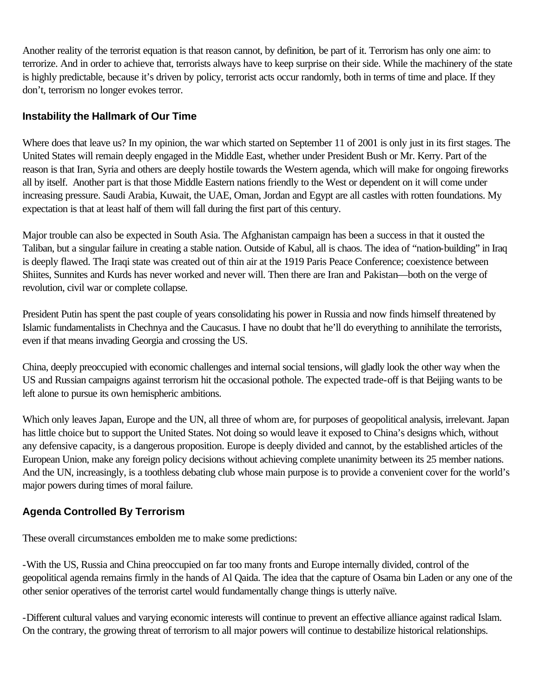Another reality of the terrorist equation is that reason cannot, by definition, be part of it. Terrorism has only one aim: to terrorize. And in order to achieve that, terrorists always have to keep surprise on their side. While the machinery of the state is highly predictable, because it's driven by policy, terrorist acts occur randomly, both in terms of time and place. If they don't, terrorism no longer evokes terror.

### **Instability the Hallmark of Our Time**

Where does that leave us? In my opinion, the war which started on September 11 of 2001 is only just in its first stages. The United States will remain deeply engaged in the Middle East, whether under President Bush or Mr. Kerry. Part of the reason is that Iran, Syria and others are deeply hostile towards the Western agenda, which will make for ongoing fireworks all by itself. Another part is that those Middle Eastern nations friendly to the West or dependent on it will come under increasing pressure. Saudi Arabia, Kuwait, the UAE, Oman, Jordan and Egypt are all castles with rotten foundations. My expectation is that at least half of them will fall during the first part of this century.

Major trouble can also be expected in South Asia. The Afghanistan campaign has been a success in that it ousted the Taliban, but a singular failure in creating a stable nation. Outside of Kabul, all is chaos. The idea of "nation-building" in Iraq is deeply flawed. The Iraqi state was created out of thin air at the 1919 Paris Peace Conference; coexistence between Shiites, Sunnites and Kurds has never worked and never will. Then there are Iran and Pakistan—both on the verge of revolution, civil war or complete collapse.

President Putin has spent the past couple of years consolidating his power in Russia and now finds himself threatened by Islamic fundamentalists in Chechnya and the Caucasus. I have no doubt that he'll do everything to annihilate the terrorists, even if that means invading Georgia and crossing the US.

China, deeply preoccupied with economic challenges and internal social tensions, will gladly look the other way when the US and Russian campaigns against terrorism hit the occasional pothole. The expected trade-off is that Beijing wants to be left alone to pursue its own hemispheric ambitions.

Which only leaves Japan, Europe and the UN, all three of whom are, for purposes of geopolitical analysis, irrelevant. Japan has little choice but to support the United States. Not doing so would leave it exposed to China's designs which, without any defensive capacity, is a dangerous proposition. Europe is deeply divided and cannot, by the established articles of the European Union, make any foreign policy decisions without achieving complete unanimity between its 25 member nations. And the UN, increasingly, is a toothless debating club whose main purpose is to provide a convenient cover for the world's major powers during times of moral failure.

## **Agenda Controlled By Terrorism**

These overall circumstances embolden me to make some predictions:

-With the US, Russia and China preoccupied on far too many fronts and Europe internally divided, control of the geopolitical agenda remains firmly in the hands of Al Qaida. The idea that the capture of Osama bin Laden or any one of the other senior operatives of the terrorist cartel would fundamentally change things is utterly naïve.

-Different cultural values and varying economic interests will continue to prevent an effective alliance against radical Islam. On the contrary, the growing threat of terrorism to all major powers will continue to destabilize historical relationships.